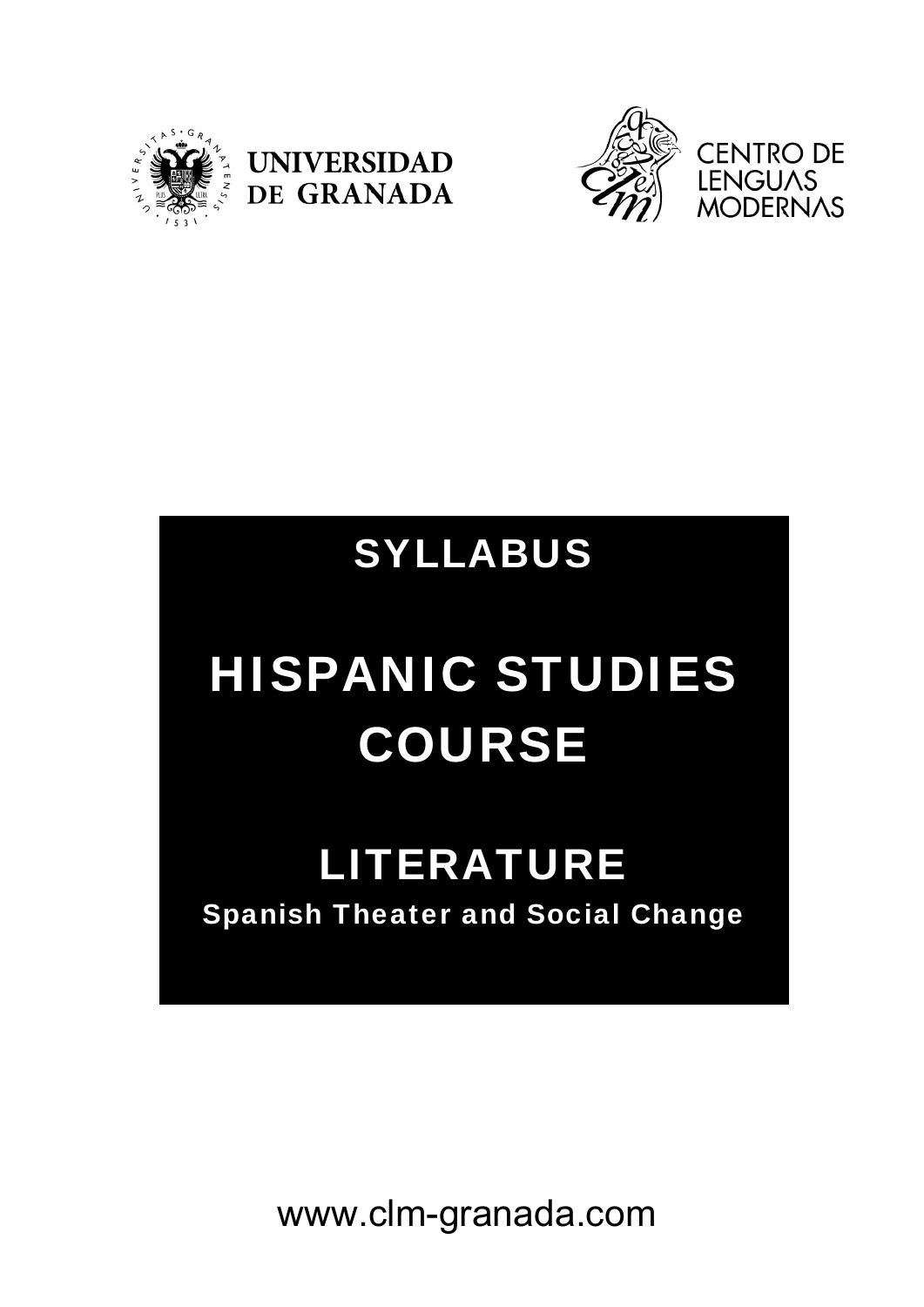





## SYLLABUS

# HISPANIC STUDIES COURSE

### LITERATURE Spanish Theater and Social Change

www.clm-granada.com